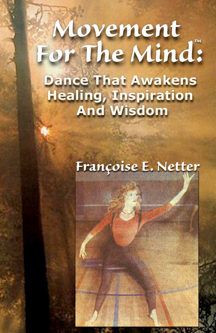# Movement For The Mind:

**Dance That Awakens Healing, Inspiration**<br>**And Wisdom** 

 $#N$ 

# Françoise E. Netter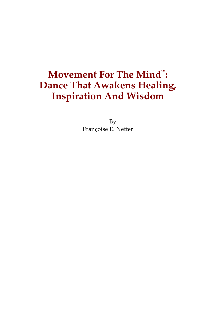#### **Movement For The Mind™ : Dance That Awakens Healing, Inspiration And Wisdom**

By Françoise E. Netter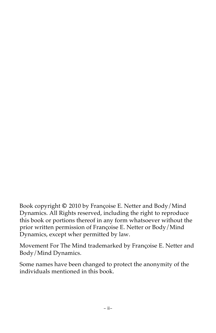Book copyright **©** 2010 by Françoise E. Netter and Body/Mind Dynamics. All Rights reserved, including the right to reproduce this book or portions thereof in any form whatsoever without the prior written permission of Françoise E. Netter or Body/Mind Dynamics, except wher permitted by law.

Movement For The Mind trademarked by Françoise E. Netter and Body/Mind Dynamics.

Some names have been changed to protect the anonymity of the individuals mentioned in this book.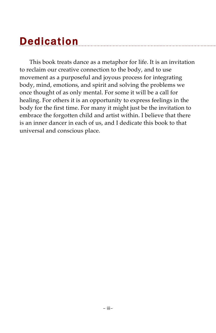# **Dedication**

This book treats dance as a metaphor for life. It is an invitation to reclaim our creative connection to the body, and to use movement as a purposeful and joyous process for integrating body, mind, emotions, and spirit and solving the problems we once thought of as only mental. For some it will be a call for healing. For others it is an opportunity to express feelings in the body for the first time. For many it might just be the invitation to embrace the forgotten child and artist within. I believe that there is an inner dancer in each of us, and I dedicate this book to that universal and conscious place.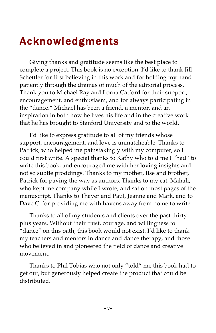# Acknowledgments

Giving thanks and gratitude seems like the best place to complete a project. This book is no exception. I'd like to thank Jill Schettler for first believing in this work and for holding my hand patiently through the dramas of much of the editorial process. Thank you to Michael Ray and Lorna Catford for their support, encouragement, and enthusiasm, and for always participating in the "dance." Michael has been a friend, a mentor, and an inspiration in both how he lives his life and in the creative work that he has brought to Stanford University and to the world.

I'd like to express gratitude to all of my friends whose support, encouragement, and love is unmatcheable. Thanks to Patrick, who helped me painstakingly with my computer, so I could first write. A special thanks to Kathy who told me I "had" to write this book, and encouraged me with her loving insights and not so subtle proddings. Thanks to my mother, Ilse and brother, Patrick for paving the way as authors. Thanks to my cat, Mahali, who kept me company while I wrote, and sat on most pages of the manuscript. Thanks to Thayer and Paul, Jeanne and Mark, and to Dave C. for providing me with havens away from home to write.

Thanks to all of my students and clients over the past thirty plus years. Without their trust, courage, and willingness to "dance" on this path, this book would not exist. I'd like to thank my teachers and mentors in dance and dance therapy, and those who believed in and pioneered the field of dance and creative movement.

Thanks to Phil Tobias who not only "told" me this book had to get out, but generously helped create the product that could be distributed.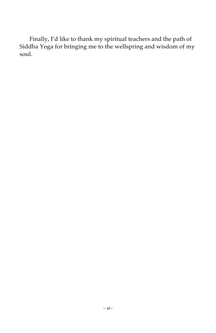Finally, I'd like to thank my spiritual teachers and the path of Siddha Yoga for bringing me to the wellspring and wisdom of my soul.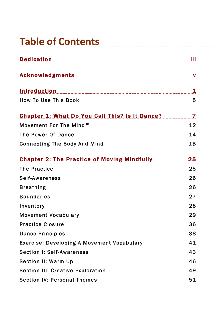# **Table of Contents**

| Dedication and the contract of the contract of the contract of the contract of the contract of the contract of                                                                                                                       | Ħ              |
|--------------------------------------------------------------------------------------------------------------------------------------------------------------------------------------------------------------------------------------|----------------|
| Acknowledgments and account of the settlement of the settlement of the settlement of the settlement of the set                                                                                                                       | V              |
| <u>Introduction and the contract of the contract of the contract of the contract of the contract of the contract of the contract of the contract of the contract of the contract of the contract of the contract of the contract</u> | 1              |
| <b>How To Use This Book</b>                                                                                                                                                                                                          | 5              |
| <b>Chapter 1: What Do You Call This? Is It Dance?</b>                                                                                                                                                                                | $\overline{7}$ |
| Movement For The Mind™                                                                                                                                                                                                               | 12             |
| The Power Of Dance                                                                                                                                                                                                                   | 14             |
| <b>Connecting The Body And Mind</b>                                                                                                                                                                                                  | 18             |
| <b>Chapter 2: The Practice of Moving Mindfully</b>                                                                                                                                                                                   | 25             |
| <b>The Practice</b>                                                                                                                                                                                                                  | 25             |
| Self-Awareness                                                                                                                                                                                                                       | 26             |
| <b>Breathing</b>                                                                                                                                                                                                                     | 26             |
| <b>Boundaries</b>                                                                                                                                                                                                                    | 27             |
| Inventory                                                                                                                                                                                                                            | 28             |
| <b>Movement Vocabulary</b>                                                                                                                                                                                                           | 29             |
| <b>Practice Closure</b>                                                                                                                                                                                                              | 36             |
| <b>Dance Principles</b>                                                                                                                                                                                                              | 38             |
| <b>Exercise: Developing A Movement Vocabulary</b>                                                                                                                                                                                    | 41             |
| Section I: Self-Awareness                                                                                                                                                                                                            | 43             |
| Section II: Warm Up                                                                                                                                                                                                                  | 46             |
| <b>Section III: Creative Exploration</b>                                                                                                                                                                                             | 49             |
| <b>Section IV: Personal Themes</b>                                                                                                                                                                                                   | 51             |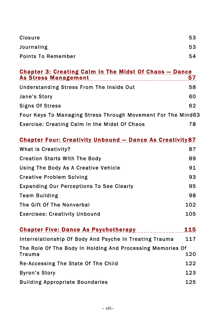| Closure                                                                                      | 53  |  |
|----------------------------------------------------------------------------------------------|-----|--|
| Journaling                                                                                   | 53  |  |
| <b>Points To Remember</b>                                                                    | 54  |  |
|                                                                                              |     |  |
| <b>Chapter 3: Creating Calm In The Midst Of Chaos - Dance</b><br><b>As Stress Management</b> | 57  |  |
| <b>Understanding Stress From The Inside Out</b>                                              | 58  |  |
| Jane's Story                                                                                 | 60  |  |
| <b>Signs Of Stress</b>                                                                       | 62  |  |
| Four Keys To Managing Stress Through Movement For The Mind63                                 |     |  |
| Exercise: Creating Calm In the Midst Of Chaos                                                | 78  |  |
|                                                                                              |     |  |
| <b>Chapter Four: Creativity Unbound - Dance As Creativity 87</b>                             |     |  |
| What is Creativity?                                                                          | 87  |  |
| <b>Creation Starts With The Body</b>                                                         | 89  |  |
| Using The Body As A Creative Vehicle                                                         | 91  |  |
| <b>Creative Problem Solving</b>                                                              | 93  |  |
| <b>Expanding Our Perceptions To See Clearly</b>                                              | 95  |  |
| <b>Team Building</b>                                                                         | 98  |  |
| The Gift Of The Nonverbal                                                                    | 102 |  |
| <b>Exercises: Creativity Unbound</b>                                                         | 105 |  |
| <b>Chapter Five: Dance As Psychotherapy Chapter Five: Dance As Psychotherapy</b>             | 115 |  |
|                                                                                              |     |  |
| Interrelationship Of Body And Psyche In Treating Trauma                                      | 117 |  |
| The Role Of The Body In Holding And Processing Memories Of<br>Trauma                         | 120 |  |
| Re-Accessing The State Of The Child                                                          | 122 |  |
| <b>Byron's Story</b>                                                                         | 123 |  |
| <b>Building Appropriate Boundaries</b>                                                       | 125 |  |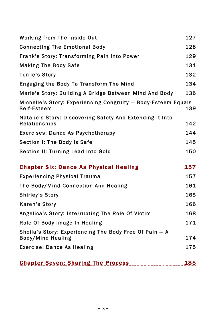| Working from The Inside-Out                                                        | 127 |
|------------------------------------------------------------------------------------|-----|
| <b>Connecting The Emotional Body</b>                                               | 128 |
| Frank's Story: Transforming Pain Into Power                                        | 129 |
| <b>Making The Body Safe</b>                                                        | 131 |
| <b>Terrie's Story</b>                                                              | 132 |
| Engaging the Body To Transform The Mind                                            | 134 |
| Marie's Story: Building A Bridge Between Mind And Body                             | 136 |
| Michelle's Story: Experiencing Congruity - Body-Esteem Equals<br>Self-Esteem       | 139 |
| Natalie's Story: Discovering Safety And Extending It Into<br>Relationships         | 142 |
| <b>Exercises: Dance As Psychotherapy</b>                                           | 144 |
| Section I: The Body is Safe                                                        | 145 |
| Section II: Turning Lead Into Gold                                                 | 150 |
| <b>Chapter Six: Dance As Physical Healing</b>                                      | 157 |
| <b>Experiencing Physical Trauma</b>                                                | 157 |
| The Body/Mind Connection And Healing                                               | 161 |
| <b>Shirley's Story</b>                                                             | 165 |
| <b>Karen's Story</b>                                                               | 166 |
| Angelica's Story: Interrupting The Role Of Victim                                  | 168 |
| Role Of Body Image In Healing                                                      | 171 |
| Sheila's Story: Experiencing The Body Free Of Pain - A<br><b>Body/Mind Healing</b> | 174 |
| <b>Exercise: Dance As Healing</b>                                                  | 175 |
| <b>Chapter Seven: Sharing The Process</b>                                          | 185 |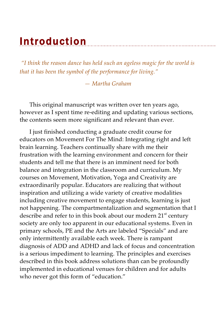# **Introduction**

*"I think the reason dance has held such an ageless magic for the world is that it has been the symbol of the performance for living."*

*— Martha Graham*

This original manuscript was written over ten years ago, however as I spent time re-editing and updating various sections, the contents seem more significant and relevant than ever.

I just finished conducting a graduate credit course for educators on Movement For The Mind: Integrating right and left brain learning. Teachers continually share with me their frustration with the learning environment and concern for their students and tell me that there is an imminent need for both balance and integration in the classroom and curriculum. My courses on Movement, Motivation, Yoga and Creativity are extraordinarily popular. Educators are realizing that without inspiration and utilizing a wide variety of creative modalities including creative movement to engage students, learning is just not happening. The compartmentalization and segmentation that I describe and refer to in this book about our modern 21<sup>st</sup> century society are only too apparent in our educational systems. Even in primary schools, PE and the Arts are labeled "Specials" and are only intermittently available each week. There is rampant diagnosis of ADD and ADHD and lack of focus and concentration is a serious impediment to learning. The principles and exercises described in this book address solutions than can be profoundly implemented in educational venues for children and for adults who never got this form of "education."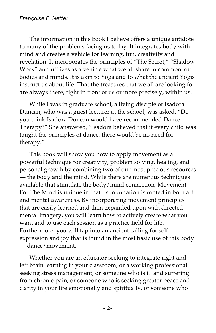The information in this book I believe offers a unique antidote to many of the problems facing us today. It integrates body with mind and creates a vehicle for learning, fun, creativity and revelation. It incorporates the principles of "The Secret," "Shadow Work" and utilizes as a vehicle what we all share in common: our bodies and minds. It is akin to Yoga and to what the ancient Yogis instruct us about life: That the treasures that we all are looking for are always there, right in front of us or more precisely, within us.

While I was in graduate school, a living disciple of Isadora Duncan, who was a guest lecturer at the school, was asked, "Do you think Isadora Duncan would have recommended Dance Therapy?" She answered, "Isadora believed that if every child was taught the principles of dance, there would be no need for therapy."

This book will show you how to apply movement as a powerful technique for creativity, problem solving, healing, and personal growth by combining two of our most precious resources — the body and the mind. While there are numerous techniques available that stimulate the body/mind connection, Movement For The Mind is unique in that its foundation is rooted in both art and mental awareness. By incorporating movement principles that are easily learned and then expanded upon with directed mental imagery, you will learn how to actively create what you want and to use each session as a practice field for life. Furthermore, you will tap into an ancient calling for selfexpression and joy that is found in the most basic use of this body — dance/movement.

Whether you are an educator seeking to integrate right and left brain learning in your classroom, or a working professional seeking stress management, or someone who is ill and suffering from chronic pain, or someone who is seeking greater peace and clarity in your life emotionally and spiritually, or someone who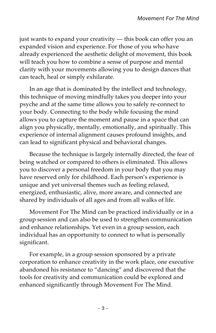just wants to expand your creativity - this book can offer you an expanded vision and experience. For those of you who have already experienced the aesthetic delight of movement, this book will teach you how to combine a sense of purpose and mental clarity with your movements allowing you to design dances that can teach, heal or simply exhilarate.

In an age that is dominated by the intellect and technology, this technique of moving mindfully takes you deeper into your psyche and at the same time allows you to safely re-connect to your body. Connecting to the body while focusing the mind allows you to capture the moment and pause in a space that can align you physically, mentally, emotionally, and spiritually. This experience of internal alignment causes profound insights, and can lead to significant physical and behavioral changes.

Because the technique is largely internally directed, the fear of being watched or compared to others is eliminated. This allows you to discover a personal freedom in your body that you may have reserved only for childhood. Each person's experience is unique and yet universal themes such as feeling relaxed, energized, enthusiastic, alive, more aware, and connected are shared by individuals of all ages and from all walks of life.

Movement For The Mind can be practiced individually or in a group session and can also be used to strengthen communication and enhance relationships. Yet even in a group session, each individual has an opportunity to connect to what is personally significant.

For example, in a group session sponsored by a private corporation to enhance creativity in the work place, one executive abandoned his resistance to "dancing" and discovered that the tools for creativity and communication could be explored and enhanced significantly through Movement For The Mind.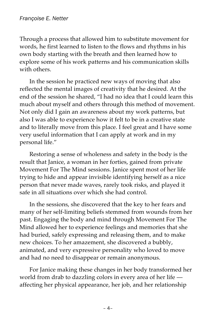Through a process that allowed him to substitute movement for words, he first learned to listen to the flows and rhythms in his own body starting with the breath and then learned how to explore some of his work patterns and his communication skills with others.

In the session he practiced new ways of moving that also reflected the mental images of creativity that he desired. At the end of the session he shared, "I had no idea that I could learn this much about myself and others through this method of movement. Not only did I gain an awareness about my work patterns, but also I was able to experience how it felt to be in a creative state and to literally move from this place. I feel great and I have some very useful information that I can apply at work and in my personal life."

Restoring a sense of wholeness and safety in the body is the result that Janice, a woman in her forties, gained from private Movement For The Mind sessions. Janice spent most of her life trying to hide and appear invisible identifying herself as a nice person that never made waves, rarely took risks, and played it safe in all situations over which she had control.

In the sessions, she discovered that the key to her fears and many of her self-limiting beliefs stemmed from wounds from her past. Engaging the body and mind through Movement For The Mind allowed her to experience feelings and memories that she had buried, safely expressing and releasing them, and to make new choices. To her amazement, she discovered a bubbly, animated, and very expressive personality who loved to move and had no need to disappear or remain anonymous.

For Janice making these changes in her body transformed her world from drab to dazzling colors in every area of her life affecting her physical appearance, her job, and her relationship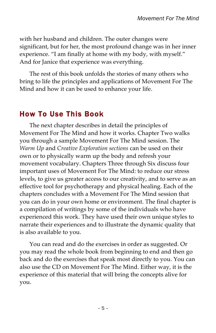with her husband and children. The outer changes were significant, but for her, the most profound change was in her inner experience. "I am finally at home with my body, with myself." And for Janice that experience was everything.

The rest of this book unfolds the stories of many others who bring to life the principles and applications of Movement For The Mind and how it can be used to enhance your life.

#### How To Use This Book

The next chapter describes in detail the principles of Movement For The Mind and how it works. Chapter Two walks you through a sample Movement For The Mind session. The *Warm Up* and *Creative Exploration sections* can be used on their own or to physically warm up the body and refresh your movement vocabulary. Chapters Three through Six discuss four important uses of Movement For The Mind: to reduce our stress levels, to give us greater access to our creativity, and to serve as an effective tool for psychotherapy and physical healing. Each of the chapters concludes with a Movement For The Mind session that you can do in your own home or environment. The final chapter is a compilation of writings by some of the individuals who have experienced this work. They have used their own unique styles to narrate their experiences and to illustrate the dynamic quality that is also available to you.

You can read and do the exercises in order as suggested. Or you may read the whole book from beginning to end and then go back and do the exercises that speak most directly to you. You can also use the CD on Movement For The Mind. Either way, it is the experience of this material that will bring the concepts alive for you.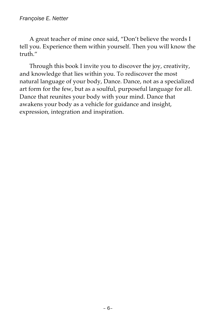A great teacher of mine once said, "Don't believe the words I tell you. Experience them within yourself. Then you will know the truth."

Through this book I invite you to discover the joy, creativity, and knowledge that lies within you. To rediscover the most natural language of your body, Dance. Dance, not as a specialized art form for the few, but as a soulful, purposeful language for all. Dance that reunites your body with your mind. Dance that awakens your body as a vehicle for guidance and insight, expression, integration and inspiration.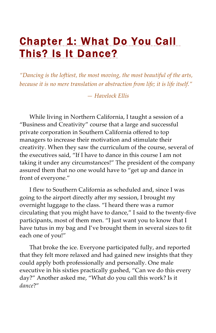## Chapter 1: What Do You Call This? Is It Dance?

*"Dancing is the loftiest, the most moving, the most beautiful of the arts, because it is no mere translation or abstraction from life; it is life itself."*

*— Havelock Ellis*

While living in Northern California, I taught a session of a "Business and Creativity" course that a large and successful private corporation in Southern California offered to top managers to increase their motivation and stimulate their creativity. When they saw the curriculum of the course, several of the executives said, "If I have to dance in this course I am not taking it under any circumstances!" The president of the company assured them that no one would have to "get up and dance in front of everyone."

I flew to Southern California as scheduled and, since I was going to the airport directly after my session, I brought my overnight luggage to the class. "I heard there was a rumor circulating that you might have to dance," I said to the twenty-five participants, most of them men. "I just want you to know that I have tutus in my bag and I've brought them in several sizes to fit each one of you!"

That broke the ice. Everyone participated fully, and reported that they felt more relaxed and had gained new insights that they could apply both professionally and personally. One male executive in his sixties practically gushed, "Can we do this every day?" Another asked me, "What do you call this work? Is it *dance*?"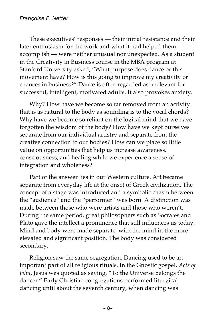These executives' responses — their initial resistance and their later enthusiasm for the work and what it had helped them accomplish — were neither unusual nor unexpected. As a student in the Creativity in Business course in the MBA program at Stanford University asked, "What purpose does dance or this movement have? How is this going to improve my creativity or chances in business?" Dance is often regarded as irrelevant for successful, intelligent, motivated adults. It also provokes anxiety.

Why? How have we become so far removed from an activity that is as natural to the body as sounding is to the vocal chords? Why have we become so reliant on the logical mind that we have forgotten the wisdom of the body? How have we kept ourselves separate from our individual artistry and separate from the creative connection to our bodies? How can we place so little value on opportunities that help us increase awareness, consciousness, and healing while we experience a sense of integration and wholeness?

Part of the answer lies in our Western culture. Art became separate from everyday life at the onset of Greek civilization. The concept of a stage was introduced and a symbolic chasm between the "audience" and the "performer" was born. A distinction was made between those who were artists and those who weren't. During the same period, great philosophers such as Socrates and Plato gave the intellect a prominence that still influences us today. Mind and body were made separate, with the mind in the more elevated and significant position. The body was considered secondary.

Religion saw the same segregation. Dancing used to be an important part of all religious rituals. In the Gnostic gospel, *Acts of John*, Jesus was quoted as saying, "To the Universe belongs the dancer." Early Christian congregations performed liturgical dancing until about the seventh century, when dancing was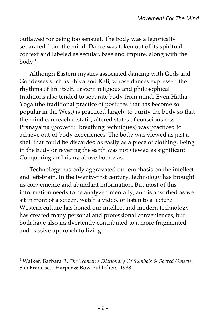outlawed for being too sensual. The body was allegorically separated from the mind. Dance was taken out of its spiritual context and labeled as secular, base and impure, along with the  $body.$ <sup>1</sup>

Although Eastern mystics associated dancing with Gods and Goddesses such as Shiva and Kali, whose dances expressed the rhythms of life itself, Eastern religious and philosophical traditions also tended to separate body from mind. Even Hatha Yoga (the traditional practice of postures that has become so popular in the West) is practiced largely to purify the body so that the mind can reach ecstatic, altered states of consciousness. Pranayama (powerful breathing techniques) was practiced to achieve out-of-body experiences. The body was viewed as just a shell that could be discarded as easily as a piece of clothing. Being in the body or revering the earth was not viewed as significant. Conquering and rising above both was.

Technology has only aggravated our emphasis on the intellect and left-brain. In the twenty-first century, technology has brought us convenience and abundant information. But most of this information needs to be analyzed mentally, and is absorbed as we sit in front of a screen, watch a video, or listen to a lecture. Western culture has honed our intellect and modern technology has created many personal and professional conveniences, but both have also inadvertently contributed to a more fragmented and passive approach to living.

<sup>1</sup> Walker*,* Barbara R. *The Women's Dictionary Of Symbols & Sacred Objects.*  San Francisco: Harper & Row Publishers, 1988.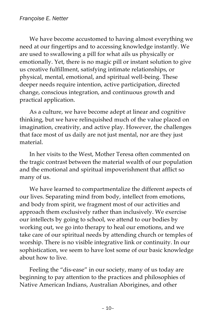We have become accustomed to having almost everything we need at our fingertips and to accessing knowledge instantly. We are used to swallowing a pill for what ails us physically or emotionally. Yet, there is no magic pill or instant solution to give us creative fulfillment, satisfying intimate relationships, or physical, mental, emotional, and spiritual well-being. These deeper needs require intention, active participation, directed change, conscious integration, and continuous growth and practical application.

As a culture, we have become adept at linear and cognitive thinking, but we have relinquished much of the value placed on imagination, creativity, and active play. However, the challenges that face most of us daily are not just mental, nor are they just material.

In her visits to the West, Mother Teresa often commented on the tragic contrast between the material wealth of our population and the emotional and spiritual impoverishment that afflict so many of us.

We have learned to compartmentalize the different aspects of our lives. Separating mind from body, intellect from emotions, and body from spirit, we fragment most of our activities and approach them exclusively rather than inclusively. We exercise our intellects by going to school, we attend to our bodies by working out, we go into therapy to heal our emotions, and we take care of our spiritual needs by attending church or temples of worship. There is no visible integrative link or continuity. In our sophistication, we seem to have lost some of our basic knowledge about how to live.

Feeling the "dis-ease" in our society, many of us today are beginning to pay attention to the practices and philosophies of Native American Indians, Australian Aborigines, and other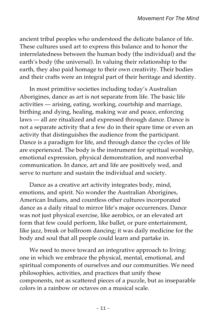ancient tribal peoples who understood the delicate balance of life. These cultures used art to express this balance and to honor the interrelatedness between the human body (the individual) and the earth's body (the universal). In valuing their relationship to the earth, they also paid homage to their own creativity. Their bodies and their crafts were an integral part of their heritage and identity.

In most primitive societies including today's Australian Aborigines, dance as art is not separate from life. The basic life activities — arising, eating, working, courtship and marriage, birthing and dying, healing, making war and peace, enforcing laws — all are ritualized and expressed through dance. Dance is not a separate activity that a few do in their spare time or even an activity that distinguishes the audience from the participant. Dance is a paradigm for life, and through dance the cycles of life are experienced. The body is the instrument for spiritual worship, emotional expression, physical demonstration, and nonverbal communication. In dance, art and life are positively wed, and serve to nurture and sustain the individual and society.

Dance as a creative art activity integrates body, mind, emotions, and spirit. No wonder the Australian Aborigines, American Indians, and countless other cultures incorporated dance as a daily ritual to mirror life's major occurrences. Dance was not just physical exercise, like aerobics, or an elevated art form that few could perform, like ballet, or pure entertainment, like jazz, break or ballroom dancing; it was daily medicine for the body and soul that all people could learn and partake in.

We need to move toward an integrative approach to living: one in which we embrace the physical, mental, emotional, and spiritual components of ourselves and our communities. We need philosophies, activities, and practices that unify these components, not as scattered pieces of a puzzle, but as inseparable colors in a rainbow or octaves on a musical scale.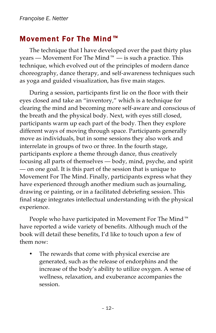#### Movement For The Mind™

The technique that I have developed over the past thirty plus years — Movement For The Mind  $M^M$  — is such a practice. This technique, which evolved out of the principles of modern dance choreography, dance therapy, and self-awareness techniques such as yoga and guided visualization, has five main stages.

During a session, participants first lie on the floor with their eyes closed and take an "inventory," which is a technique for clearing the mind and becoming more self-aware and conscious of the breath and the physical body. Next, with eyes still closed, participants warm up each part of the body. Then they explore different ways of moving through space. Participants generally move as individuals, but in some sessions they also work and interrelate in groups of two or three. In the fourth stage, participants explore a theme through dance, thus creatively focusing all parts of themselves — body, mind, psyche, and spirit — on one goal. It is this part of the session that is unique to Movement For The Mind. Finally, participants express what they have experienced through another medium such as journaling, drawing or painting, or in a facilitated debriefing session. This final stage integrates intellectual understanding with the physical experience.

People who have participated in Movement For The Mind™ have reported a wide variety of benefits. Although much of the book will detail these benefits, I'd like to touch upon a few of them now:

The rewards that come with physical exercise are generated, such as the release of endorphins and the increase of the body's ability to utilize oxygen. A sense of wellness, relaxation, and exuberance accompanies the session.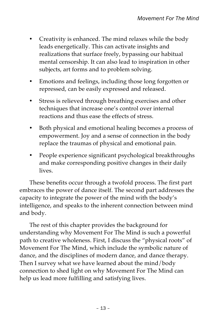- Creativity is enhanced. The mind relaxes while the body leads energetically. This can activate insights and realizations that surface freely, bypassing our habitual mental censorship. It can also lead to inspiration in other subjects, art forms and to problem solving.
- Emotions and feelings, including those long forgotten or repressed, can be easily expressed and released.
- Stress is relieved through breathing exercises and other techniques that increase one's control over internal reactions and thus ease the effects of stress.
- Both physical and emotional healing becomes a process of empowerment. Joy and a sense of connection in the body replace the traumas of physical and emotional pain.
- People experience significant psychological breakthroughs and make corresponding positive changes in their daily lives.

These benefits occur through a twofold process. The first part embraces the power of dance itself. The second part addresses the capacity to integrate the power of the mind with the body's intelligence, and speaks to the inherent connection between mind and body.

The rest of this chapter provides the background for understanding why Movement For The Mind is such a powerful path to creative wholeness. First, I discuss the "physical roots" of Movement For The Mind, which include the symbolic nature of dance, and the disciplines of modern dance, and dance therapy. Then I survey what we have learned about the mind/body connection to shed light on why Movement For The Mind can help us lead more fulfilling and satisfying lives.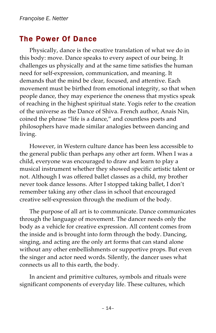#### The Power Of Dance

Physically, dance is the creative translation of what we do in this body: move. Dance speaks to every aspect of our being. It challenges us physically and at the same time satisfies the human need for self-expression, communication, and meaning. It demands that the mind be clear, focused, and attentive. Each movement must be birthed from emotional integrity, so that when people dance, they may experience the oneness that mystics speak of reaching in the highest spiritual state. Yogis refer to the creation of the universe as the Dance of Shiva. French author, Anais Nin, coined the phrase "life is a dance," and countless poets and philosophers have made similar analogies between dancing and living.

However, in Western culture dance has been less accessible to the general public than perhaps any other art form. When I was a child, everyone was encouraged to draw and learn to play a musical instrument whether they showed specific artistic talent or not. Although I was offered ballet classes as a child, my brother never took dance lessons. After I stopped taking ballet, I don't remember taking any other class in school that encouraged creative self-expression through the medium of the body.

The purpose of all art is to communicate. Dance communicates through the language of movement. The dancer needs only the body as a vehicle for creative expression. All content comes from the inside and is brought into form through the body. Dancing, singing, and acting are the only art forms that can stand alone without any other embellishments or supportive props. But even the singer and actor need words. Silently, the dancer uses what connects us all to this earth, the body.

In ancient and primitive cultures, symbols and rituals were significant components of everyday life. These cultures, which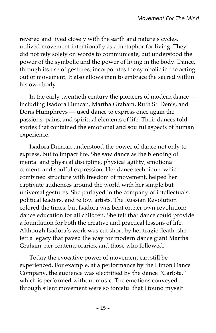revered and lived closely with the earth and nature's cycles, utilized movement intentionally as a metaphor for living. They did not rely solely on words to communicate, but understood the power of the symbolic and the power of living in the body. Dance, through its use of gestures, incorporates the symbolic in the acting out of movement. It also allows man to embrace the sacred within his own body.

In the early twentieth century the pioneers of modern dance including Isadora Duncan, Martha Graham, Ruth St. Denis, and Doris Humphreys — used dance to express once again the passions, pains, and spiritual elements of life. Their dances told stories that contained the emotional and soulful aspects of human experience.

Isadora Duncan understood the power of dance not only to express, but to impact life. She saw dance as the blending of mental and physical discipline, physical agility, emotional content, and soulful expression. Her dance technique, which combined structure with freedom of movement, helped her captivate audiences around the world with her simple but universal gestures. She parlayed in the company of intellectuals, political leaders, and fellow artists. The Russian Revolution colored the times, but Isadora was bent on her own revolution: dance education for all children. She felt that dance could provide a foundation for both the creative and practical lessons of life. Although Isadora's work was cut short by her tragic death, she left a legacy that paved the way for modern dance giant Martha Graham, her contemporaries, and those who followed.

Today the evocative power of movement can still be experienced. For example, at a performance by the Limon Dance Company, the audience was electrified by the dance "Carlota," which is performed without music. The emotions conveyed through silent movement were so forceful that I found myself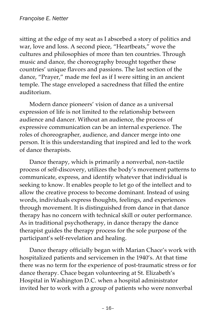sitting at the edge of my seat as I absorbed a story of politics and war, love and loss. A second piece, "Heartbeats," wove the cultures and philosophies of more than ten countries. Through music and dance, the choreography brought together these countries' unique flavors and passions. The last section of the dance, "Prayer," made me feel as if I were sitting in an ancient temple. The stage enveloped a sacredness that filled the entire auditorium.

Modern dance pioneers' vision of dance as a universal expression of life is not limited to the relationship between audience and dancer. Without an audience, the process of expressive communication can be an internal experience. The roles of choreographer, audience, and dancer merge into one person. It is this understanding that inspired and led to the work of dance therapists.

Dance therapy, which is primarily a nonverbal, non-tactile process of self-discovery, utilizes the body's movement patterns to communicate, express, and identify whatever that individual is seeking to know. It enables people to let go of the intellect and to allow the creative process to become dominant. Instead of using words, individuals express thoughts, feelings, and experiences through movement. It is distinguished from dance in that dance therapy has no concern with technical skill or outer performance. As in traditional psychotherapy, in dance therapy the dance therapist guides the therapy process for the sole purpose of the participant's self-revelation and healing.

Dance therapy officially began with Marian Chace's work with hospitalized patients and servicemen in the 1940's. At that time there was no term for the experience of post-traumatic stress or for dance therapy. Chace began volunteering at St. Elizabeth's Hospital in Washington D.C. when a hospital administrator invited her to work with a group of patients who were nonverbal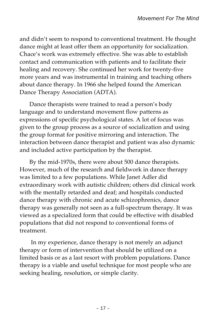and didn't seem to respond to conventional treatment. He thought dance might at least offer them an opportunity for socialization. Chace's work was extremely effective. She was able to establish contact and communication with patients and to facilitate their healing and recovery. She continued her work for twenty-five more years and was instrumental in training and teaching others about dance therapy. In 1966 she helped found the American Dance Therapy Association (ADTA).

Dance therapists were trained to read a person's body language and to understand movement flow patterns as expressions of specific psychological states. A lot of focus was given to the group process as a source of socialization and using the group format for positive mirroring and interaction. The interaction between dance therapist and patient was also dynamic and included active participation by the therapist.

By the mid-1970s, there were about 500 dance therapists. However, much of the research and fieldwork in dance therapy was limited to a few populations. While Janet Adler did extraordinary work with autistic children; others did clinical work with the mentally retarded and deaf; and hospitals conducted dance therapy with chronic and acute schizophrenics, dance therapy was generally not seen as a full-spectrum therapy. It was viewed as a specialized form that could be effective with disabled populations that did not respond to conventional forms of treatment.

In my experience, dance therapy is not merely an adjunct therapy or form of intervention that should be utilized on a limited basis or as a last resort with problem populations. Dance therapy is a viable and useful technique for most people who are seeking healing, resolution, or simple clarity.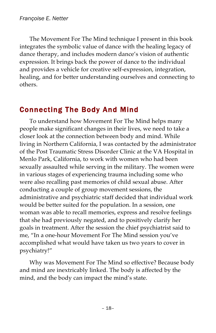The Movement For The Mind technique I present in this book integrates the symbolic value of dance with the healing legacy of dance therapy, and includes modern dance's vision of authentic expression. It brings back the power of dance to the individual and provides a vehicle for creative self-expression, integration, healing, and for better understanding ourselves and connecting to others.

#### Connecting The Body And Mind

To understand how Movement For The Mind helps many people make significant changes in their lives, we need to take a closer look at the connection between body and mind. While living in Northern California, I was contacted by the administrator of the Post Traumatic Stress Disorder Clinic at the VA Hospital in Menlo Park, California, to work with women who had been sexually assaulted while serving in the military. The women were in various stages of experiencing trauma including some who were also recalling past memories of child sexual abuse. After conducting a couple of group movement sessions, the administrative and psychiatric staff decided that individual work would be better suited for the population. In a session, one woman was able to recall memories, express and resolve feelings that she had previously negated, and to positively clarify her goals in treatment. After the session the chief psychiatrist said to me, "In a one-hour Movement For The Mind session you've accomplished what would have taken us two years to cover in psychiatry!"

Why was Movement For The Mind so effective? Because body and mind are inextricably linked. The body is affected by the mind, and the body can impact the mind's state.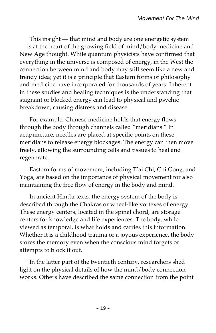This insight — that mind and body are one energetic system — is at the heart of the growing field of mind/body medicine and New Age thought. While quantum physicists have confirmed that everything in the universe is composed of energy, in the West the connection between mind and body may still seem like a new and trendy idea; yet it is a principle that Eastern forms of philosophy and medicine have incorporated for thousands of years. Inherent in these studies and healing techniques is the understanding that stagnant or blocked energy can lead to physical and psychic breakdown, causing distress and disease.

For example, Chinese medicine holds that energy flows through the body through channels called "meridians." In acupuncture, needles are placed at specific points on these meridians to release energy blockages. The energy can then move freely, allowing the surrounding cells and tissues to heal and regenerate.

Eastern forms of movement, including T'ai Chi, Chi Gong, and Yoga, are based on the importance of physical movement for also maintaining the free flow of energy in the body and mind.

In ancient Hindu texts, the energy system of the body is described through the Chakras or wheel-like vortexes of energy. These energy centers, located in the spinal chord, are storage centers for knowledge and life experiences. The body, while viewed as temporal, is what holds and carries this information. Whether it is a childhood trauma or a joyous experience, the body stores the memory even when the conscious mind forgets or attempts to block it out.

In the latter part of the twentieth century, researchers shed light on the physical details of how the mind/body connection works. Others have described the same connection from the point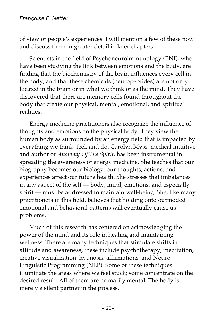of view of people's experiences. I will mention a few of these now and discuss them in greater detail in later chapters.

Scientists in the field of Psychoneuroimmunology (PNI), who have been studying the link between emotions and the body, are finding that the biochemistry of the brain influences every cell in the body, and that these chemicals (neuropeptides) are not only located in the brain or in what we think of as the mind. They have discovered that there are memory cells found throughout the body that create our physical, mental, emotional, and spiritual realities.

Energy medicine practitioners also recognize the influence of thoughts and emotions on the physical body. They view the human body as surrounded by an energy field that is impacted by everything we think, feel, and do. Carolyn Myss, medical intuitive and author of *Anatomy Of The Spirit,* has been instrumental in spreading the awareness of energy medicine. She teaches that our biography becomes our biology: our thoughts, actions, and experiences affect our future health. She stresses that imbalances in any aspect of the self — body, mind, emotions, and especially spirit — must be addressed to maintain well-being. She, like many practitioners in this field, believes that holding onto outmoded emotional and behavioral patterns will eventually cause us problems.

Much of this research has centered on acknowledging the power of the mind and its role in healing and maintaining wellness. There are many techniques that stimulate shifts in attitude and awareness; these include psychotherapy, meditation, creative visualization, hypnosis, affirmations, and Neuro Linguistic Programming (NLP). Some of these techniques illuminate the areas where we feel stuck; some concentrate on the desired result. All of them are primarily mental. The body is merely a silent partner in the process.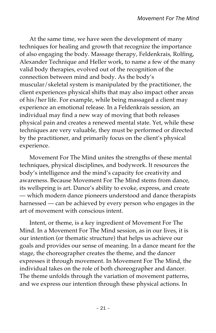At the same time, we have seen the development of many techniques for healing and growth that recognize the importance of also engaging the body. Massage therapy, Feldenkrais, Rolfing, Alexander Technique and Heller work, to name a few of the many valid body therapies, evolved out of the recognition of the connection between mind and body. As the body's muscular/skeletal system is manipulated by the practitioner, the client experiences physical shifts that may also impact other areas of his/her life. For example, while being massaged a client may experience an emotional release. In a Feldenkrais session, an individual may find a new way of moving that both releases physical pain and creates a renewed mental state. Yet, while these techniques are very valuable, they must be performed or directed by the practitioner, and primarily focus on the client's physical experience.

Movement For The Mind unites the strengths of these mental techniques, physical disciplines, and bodywork. It resources the body's intelligence and the mind's capacity for creativity and awareness. Because Movement For The Mind stems from dance, its wellspring is art. Dance's ability to evoke, express, and create — which modern dance pioneers understood and dance therapists harnessed — can be achieved by every person who engages in the art of movement with conscious intent.

Intent, or theme, is a key ingredient of Movement For The Mind. In a Movement For The Mind session, as in our lives, it is our intention (or thematic structure) that helps us achieve our goals and provides our sense of meaning. In a dance meant for the stage, the choreographer creates the theme, and the dancer expresses it through movement. In Movement For The Mind, the individual takes on the role of both choreographer and dancer. The theme unfolds through the variation of movement patterns, and we express our intention through these physical actions. In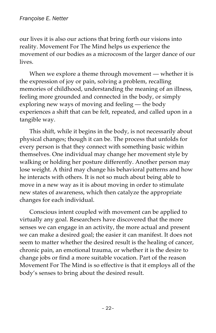our lives it is also our actions that bring forth our visions into reality. Movement For The Mind helps us experience the movement of our bodies as a microcosm of the larger dance of our lives.

When we explore a theme through movement — whether it is the expression of joy or pain, solving a problem, recalling memories of childhood, understanding the meaning of an illness, feeling more grounded and connected in the body, or simply exploring new ways of moving and feeling — the body experiences a shift that can be felt, repeated, and called upon in a tangible way.

This shift, while it begins in the body, is not necessarily about physical changes; though it can be. The process that unfolds for every person is that they connect with something basic within themselves. One individual may change her movement style by walking or holding her posture differently. Another person may lose weight. A third may change his behavioral patterns and how he interacts with others. It is not so much about being able to move in a new way as it is about moving in order to stimulate new states of awareness, which then catalyze the appropriate changes for each individual.

Conscious intent coupled with movement can be applied to virtually any goal. Researchers have discovered that the more senses we can engage in an activity, the more actual and present we can make a desired goal; the easier it can manifest. It does not seem to matter whether the desired result is the healing of cancer, chronic pain, an emotional trauma, or whether it is the desire to change jobs or find a more suitable vocation. Part of the reason Movement For The Mind is so effective is that it employs all of the body's senses to bring about the desired result.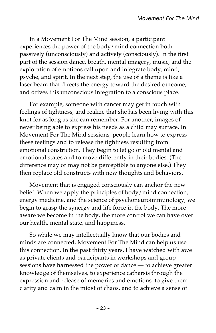In a Movement For The Mind session, a participant experiences the power of the body/mind connection both passively (unconsciously) and actively (consciously). In the first part of the session dance, breath, mental imagery, music, and the exploration of emotions call upon and integrate body, mind, psyche, and spirit. In the next step, the use of a theme is like a laser beam that directs the energy toward the desired outcome, and drives this unconscious integration to a conscious place.

For example, someone with cancer may get in touch with feelings of tightness, and realize that she has been living with this knot for as long as she can remember. For another, images of never being able to express his needs as a child may surface. In Movement For The Mind sessions, people learn how to express these feelings and to release the tightness resulting from emotional constriction. They begin to let go of old mental and emotional states and to move differently in their bodies. (The difference may or may not be perceptible to anyone else.) They then replace old constructs with new thoughts and behaviors.

Movement that is engaged consciously can anchor the new belief. When we apply the principles of body/mind connection, energy medicine, and the science of psychoneuroimmunology, we begin to grasp the synergy and life force in the body. The more aware we become in the body, the more control we can have over our health, mental state, and happiness.

So while we may intellectually know that our bodies and minds are connected, Movement For The Mind can help us use this connection. In the past thirty years, I have watched with awe as private clients and participants in workshops and group sessions have harnessed the power of dance — to achieve greater knowledge of themselves, to experience catharsis through the expression and release of memories and emotions, to give them clarity and calm in the midst of chaos, and to achieve a sense of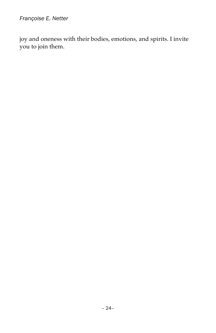joy and oneness with their bodies, emotions, and spirits. I invite you to join them.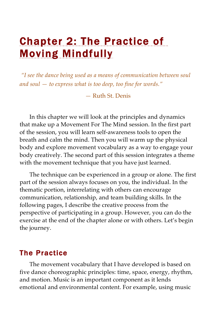## Chapter 2: The Practice of Moving Mindfully

*"I see the dance being used as a means of communication between soul and soul — to express what is too deep, too fine for words."*

*—* Ruth St. Denis

In this chapter we will look at the principles and dynamics that make up a Movement For The Mind session. In the first part of the session, you will learn self-awareness tools to open the breath and calm the mind. Then you will warm up the physical body and explore movement vocabulary as a way to engage your body creatively. The second part of this session integrates a theme with the movement technique that you have just learned.

The technique can be experienced in a group or alone. The first part of the session always focuses on you, the individual. In the thematic portion, interrelating with others can encourage communication, relationship, and team building skills. In the following pages, I describe the creative process from the perspective of participating in a group. However, you can do the exercise at the end of the chapter alone or with others. Let's begin the journey.

#### The Practice

The movement vocabulary that I have developed is based on five dance choreographic principles: time, space, energy, rhythm, and motion. Music is an important component as it lends emotional and environmental content. For example, using music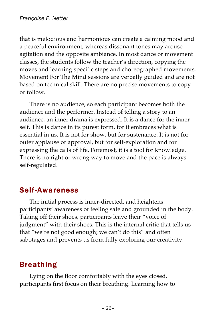that is melodious and harmonious can create a calming mood and a peaceful environment, whereas dissonant tones may arouse agitation and the opposite ambiance. In most dance or movement classes, the students follow the teacher's direction, copying the moves and learning specific steps and choreographed movements. Movement For The Mind sessions are verbally guided and are not based on technical skill. There are no precise movements to copy or follow.

There is no audience, so each participant becomes both the audience and the performer. Instead of telling a story to an audience, an inner drama is expressed. It is a dance for the inner self. This is dance in its purest form, for it embraces what is essential in us. It is not for show, but for sustenance. It is not for outer applause or approval, but for self-exploration and for expressing the calls of life. Foremost, it is a tool for knowledge. There is no right or wrong way to move and the pace is always self-regulated.

#### Self-Awareness

The initial process is inner-directed, and heightens participants' awareness of feeling safe and grounded in the body. Taking off their shoes, participants leave their "voice of judgment" with their shoes. This is the internal critic that tells us that "we're not good enough; we can't do this" and often sabotages and prevents us from fully exploring our creativity.

#### Breathing

Lying on the floor comfortably with the eyes closed, participants first focus on their breathing. Learning how to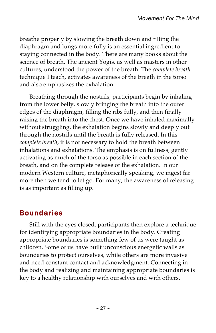breathe properly by slowing the breath down and filling the diaphragm and lungs more fully is an essential ingredient to staying connected in the body. There are many books about the science of breath. The ancient Yogis, as well as masters in other cultures, understood the power of the breath. The *complete breath* technique I teach, activates awareness of the breath in the torso and also emphasizes the exhalation.

Breathing through the nostrils, participants begin by inhaling from the lower belly, slowly bringing the breath into the outer edges of the diaphragm, filling the ribs fully, and then finally raising the breath into the chest. Once we have inhaled maximally without struggling, the exhalation begins slowly and deeply out through the nostrils until the breath is fully released. In this *complete breath*, it is not necessary to hold the breath between inhalations and exhalations. The emphasis is on fullness, gently activating as much of the torso as possible in each section of the breath, and on the complete release of the exhalation. In our modern Western culture, metaphorically speaking, we ingest far more then we tend to let go. For many, the awareness of releasing is as important as filling up.

#### Boundaries

Still with the eyes closed, participants then explore a technique for identifying appropriate boundaries in the body. Creating appropriate boundaries is something few of us were taught as children. Some of us have built unconscious energetic walls as boundaries to protect ourselves, while others are more invasive and need constant contact and acknowledgment. Connecting in the body and realizing and maintaining appropriate boundaries is key to a healthy relationship with ourselves and with others.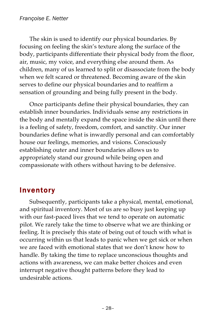The skin is used to identify our physical boundaries. By focusing on feeling the skin's texture along the surface of the body, participants differentiate their physical body from the floor, air, music, my voice, and everything else around them. As children, many of us learned to split or disassociate from the body when we felt scared or threatened. Becoming aware of the skin serves to define our physical boundaries and to reaffirm a sensation of grounding and being fully present in the body.

Once participants define their physical boundaries, they can establish inner boundaries. Individuals sense any restrictions in the body and mentally expand the space inside the skin until there is a feeling of safety, freedom, comfort, and sanctity. Our inner boundaries define what is inwardly personal and can comfortably house our feelings, memories, and visions. Consciously establishing outer and inner boundaries allows us to appropriately stand our ground while being open and compassionate with others without having to be defensive.

#### Inventory

Subsequently, participants take a physical, mental, emotional, and spiritual inventory. Most of us are so busy just keeping up with our fast-paced lives that we tend to operate on automatic pilot. We rarely take the time to observe what we are thinking or feeling. It is precisely this state of being out of touch with what is occurring within us that leads to panic when we get sick or when we are faced with emotional states that we don't know how to handle. By taking the time to replace unconscious thoughts and actions with awareness, we can make better choices and even interrupt negative thought patterns before they lead to undesirable actions.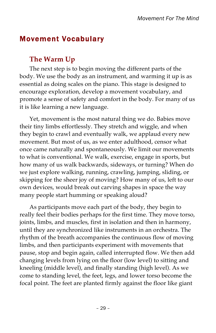#### Movement Vocabulary

#### **The Warm Up**

The next step is to begin moving the different parts of the body. We use the body as an instrument, and warming it up is as essential as doing scales on the piano. This stage is designed to encourage exploration, develop a movement vocabulary, and promote a sense of safety and comfort in the body. For many of us it is like learning a new language.

Yet, movement is the most natural thing we do. Babies move their tiny limbs effortlessly. They stretch and wiggle, and when they begin to crawl and eventually walk, we applaud every new movement. But most of us, as we enter adulthood, censor what once came naturally and spontaneously. We limit our movements to what is conventional. We walk, exercise, engage in sports, but how many of us walk backwards, sideways, or turning? When do we just explore walking, running, crawling, jumping, sliding, or skipping for the sheer joy of moving? How many of us, left to our own devices, would break out carving shapes in space the way many people start humming or speaking aloud?

As participants move each part of the body, they begin to really feel their bodies perhaps for the first time. They move torso, joints, limbs, and muscles, first in isolation and then in harmony, until they are synchronized like instruments in an orchestra. The rhythm of the breath accompanies the continuous flow of moving limbs, and then participants experiment with movements that pause, stop and begin again, called interrupted flow. We then add changing levels from lying on the floor (low level) to sitting and kneeling (middle level), and finally standing (high level). As we come to standing level, the feet, legs, and lower torso become the focal point. The feet are planted firmly against the floor like giant